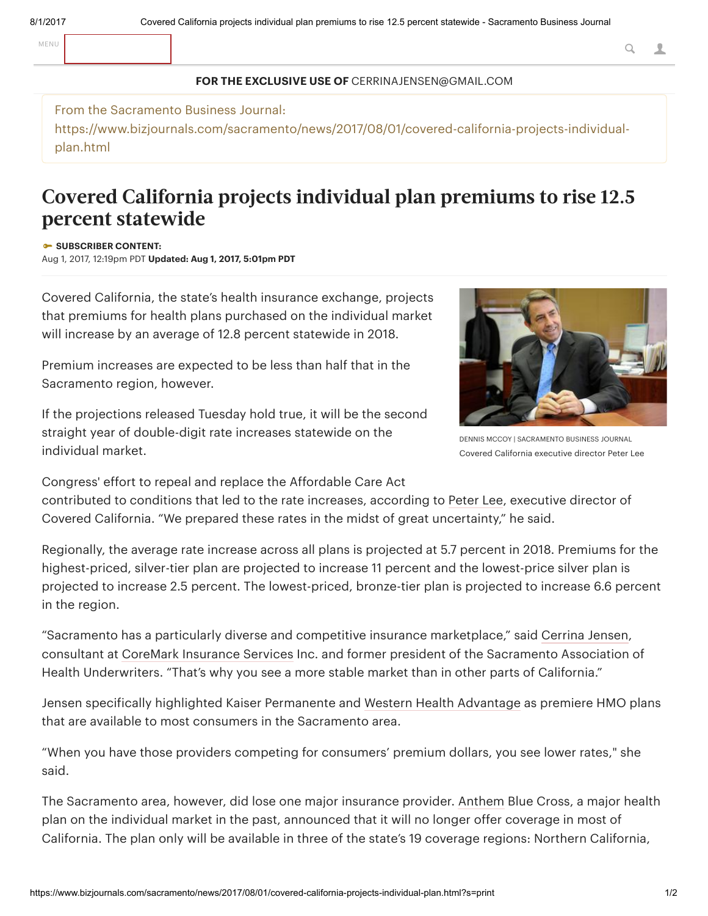## FOR THE EXCLUSIVE USE OF CERRINAJENSEN@GMAIL.COM

## From the Sacramento Business Journal:

https://www.bizjournals.com/sacramento/news/2017/08/01/covered-california-projects-individualplan.html

## Covered California projects individual plan premiums to rise 12.5 percent statewide

## **SUBSCRIBER CONTENT:**

Aug 1, 2017, 12:19pm PDT Updated: Aug 1, 2017, 5:01pm PDT

Covered California, the state's health insurance exchange, projects that premiums for health plans purchased on the individual market will increase by an average of 12.8 percent statewide in 2018.

Premium increases are expected to be less than half that in the Sacramento region, however.

If the projections released Tuesday hold true, it will be the second straight year of double-digit rate increases statewide on the individual market.



DENNIS MCCOY | SACRAMENTO BUSINESS JOURNAL Covered California executive director Peter Lee

Congress' effort to repeal and replace the Affordable Care Act

contributed to conditions that led to the rate increases, according to [Peter](https://www.bizjournals.com/sacramento/search/results?q=Peter%20Lee) Lee, executive director of Covered California. "We prepared these rates in the midst of great uncertainty," he said.

Regionally, the average rate increase across all plans is projected at 5.7 percent in 2018. Premiums for the highest-priced, silver-tier plan are projected to increase 11 percent and the lowest-price silver plan is projected to increase 2.5 percent. The lowest-priced, bronze-tier plan is projected to increase 6.6 percent in the region.

"Sacramento has a particularly diverse and competitive insurance marketplace," said [Cerrina](https://www.bizjournals.com/sacramento/search/results?q=Cerrina%20Jensen) Jensen, consultant at CoreMark [Insurance](http://companies.bizjournals.com/profile/coremark-insurance-services/6993832/) Services Inc. and former president of the Sacramento Association of Health Underwriters. "That's why you see a more stable market than in other parts of California."

Jensen specifically highlighted Kaiser Permanente and Western Health [Advantage](http://companies.bizjournals.com/profile/wha/159768/) as premiere HMO plans that are available to most consumers in the Sacramento area.

"When you have those providers competing for consumers' premium dollars, you see lower rates," she said.

The Sacramento area, however, did lose one major insurance provider. [Anthem](http://companies.bizjournals.com/profile/anthem/2231485/) Blue Cross, a major health plan on the individual market in the past, announced that it will no longer offer coverage in most of California. The plan only will be available in three of the state's 19 coverage regions: Northern California,